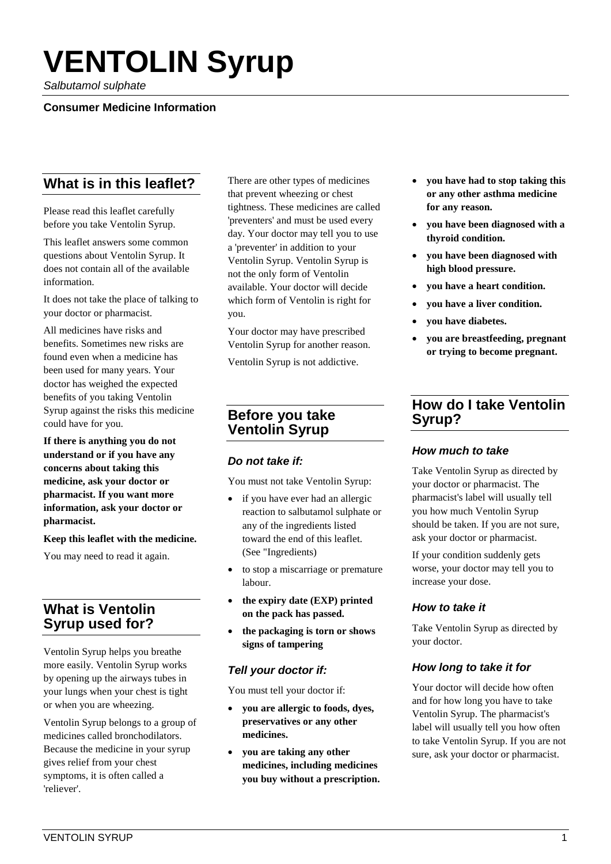# **VENTOLIN Syrup**

*Salbutamol sulphate*

#### **Consumer Medicine Information**

# **What is in this leaflet?**

Please read this leaflet carefully before you take Ventolin Syrup.

This leaflet answers some common questions about Ventolin Syrup. It does not contain all of the available information.

It does not take the place of talking to your doctor or pharmacist.

All medicines have risks and benefits. Sometimes new risks are found even when a medicine has been used for many years. Your doctor has weighed the expected benefits of you taking Ventolin Syrup against the risks this medicine could have for you.

**If there is anything you do not understand or if you have any concerns about taking this medicine, ask your doctor or pharmacist. If you want more information, ask your doctor or pharmacist.**

**Keep this leaflet with the medicine.**

You may need to read it again.

# **What is Ventolin Syrup used for?**

Ventolin Syrup helps you breathe more easily. Ventolin Syrup works by opening up the airways tubes in your lungs when your chest is tight or when you are wheezing.

Ventolin Syrup belongs to a group of medicines called bronchodilators. Because the medicine in your syrup gives relief from your chest symptoms, it is often called a 'reliever'.

There are other types of medicines that prevent wheezing or chest tightness. These medicines are called 'preventers' and must be used every day. Your doctor may tell you to use a 'preventer' in addition to your Ventolin Syrup. Ventolin Syrup is not the only form of Ventolin available. Your doctor will decide which form of Ventolin is right for you.

Your doctor may have prescribed Ventolin Syrup for another reason.

Ventolin Syrup is not addictive.

## **Before you take Ventolin Syrup**

## *Do not take if:*

You must not take Ventolin Syrup:

- if you have ever had an allergic reaction to salbutamol sulphate or any of the ingredients listed toward the end of this leaflet. (See "Ingredients)
- to stop a miscarriage or premature labour.
- **the expiry date (EXP) printed on the pack has passed.**
- **the packaging is torn or shows signs of tampering**

#### *Tell your doctor if:*

You must tell your doctor if:

- **you are allergic to foods, dyes, preservatives or any other medicines.**
- **you are taking any other medicines, including medicines you buy without a prescription.**
- **you have had to stop taking this or any other asthma medicine for any reason.**
- **you have been diagnosed with a thyroid condition.**
- **you have been diagnosed with high blood pressure.**
- **you have a heart condition.**
- **you have a liver condition.**
- **you have diabetes.**
- **you are breastfeeding, pregnant or trying to become pregnant.**

# **How do I take Ventolin Syrup?**

#### *How much to take*

Take Ventolin Syrup as directed by your doctor or pharmacist. The pharmacist's label will usually tell you how much Ventolin Syrup should be taken. If you are not sure, ask your doctor or pharmacist.

If your condition suddenly gets worse, your doctor may tell you to increase your dose.

## *How to take it*

Take Ventolin Syrup as directed by your doctor.

#### *How long to take it for*

Your doctor will decide how often and for how long you have to take Ventolin Syrup. The pharmacist's label will usually tell you how often to take Ventolin Syrup. If you are not sure, ask your doctor or pharmacist.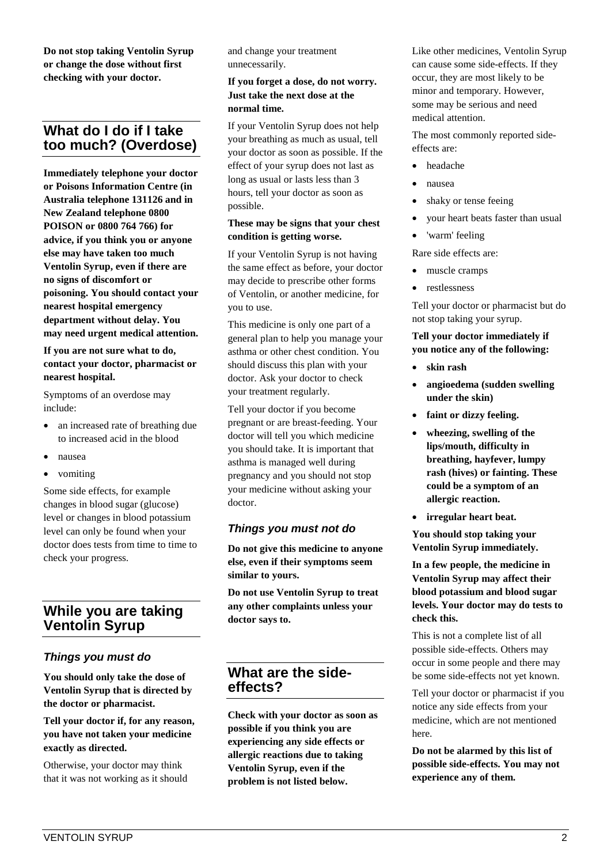**Do not stop taking Ventolin Syrup or change the dose without first checking with your doctor.**

# **What do I do if I take too much? (Overdose)**

**Immediately telephone your doctor or Poisons Information Centre (in Australia telephone 131126 and in New Zealand telephone 0800 POISON or 0800 764 766) for advice, if you think you or anyone else may have taken too much Ventolin Syrup, even if there are no signs of discomfort or poisoning. You should contact your nearest hospital emergency department without delay. You may need urgent medical attention.**

#### **If you are not sure what to do, contact your doctor, pharmacist or nearest hospital.**

Symptoms of an overdose may include:

- an increased rate of breathing due to increased acid in the blood
- nausea
- vomiting

Some side effects, for example changes in blood sugar (glucose) level or changes in blood potassium level can only be found when your doctor does tests from time to time to check your progress.

# **While you are taking Ventolin Syrup**

#### *Things you must do*

**You should only take the dose of Ventolin Syrup that is directed by the doctor or pharmacist.**

**Tell your doctor if, for any reason, you have not taken your medicine exactly as directed.**

Otherwise, your doctor may think that it was not working as it should and change your treatment unnecessarily.

#### **If you forget a dose, do not worry. Just take the next dose at the normal time.**

If your Ventolin Syrup does not help your breathing as much as usual, tell your doctor as soon as possible. If the effect of your syrup does not last as long as usual or lasts less than 3 hours, tell your doctor as soon as possible.

#### **These may be signs that your chest condition is getting worse.**

If your Ventolin Syrup is not having the same effect as before, your doctor may decide to prescribe other forms of Ventolin, or another medicine, for you to use.

This medicine is only one part of a general plan to help you manage your asthma or other chest condition. You should discuss this plan with your doctor. Ask your doctor to check your treatment regularly.

Tell your doctor if you become pregnant or are breast-feeding. Your doctor will tell you which medicine you should take. It is important that asthma is managed well during pregnancy and you should not stop your medicine without asking your doctor.

## *Things you must not do*

**Do not give this medicine to anyone else, even if their symptoms seem similar to yours.**

**Do not use Ventolin Syrup to treat any other complaints unless your doctor says to.**

## **What are the sideeffects?**

**Check with your doctor as soon as possible if you think you are experiencing any side effects or allergic reactions due to taking Ventolin Syrup, even if the problem is not listed below.**

Like other medicines, Ventolin Syrup can cause some side-effects. If they occur, they are most likely to be minor and temporary. However, some may be serious and need medical attention.

The most commonly reported sideeffects are:

- headache
- nausea
- shaky or tense feeing
- your heart beats faster than usual
- 'warm' feeling

Rare side effects are:

- muscle cramps
- restlessness

Tell your doctor or pharmacist but do not stop taking your syrup.

#### **Tell your doctor immediately if you notice any of the following:**

- **skin rash**
- **angioedema (sudden swelling under the skin)**
- **faint or dizzy feeling.**
- **wheezing, swelling of the lips/mouth, difficulty in breathing, hayfever, lumpy rash (hives) or fainting. These could be a symptom of an allergic reaction.**
- **irregular heart beat.**

**You should stop taking your Ventolin Syrup immediately.**

**In a few people, the medicine in Ventolin Syrup may affect their blood potassium and blood sugar levels. Your doctor may do tests to check this.**

This is not a complete list of all possible side-effects. Others may occur in some people and there may be some side-effects not yet known.

Tell your doctor or pharmacist if you notice any side effects from your medicine, which are not mentioned here.

**Do not be alarmed by this list of possible side-effects. You may not experience any of them.**